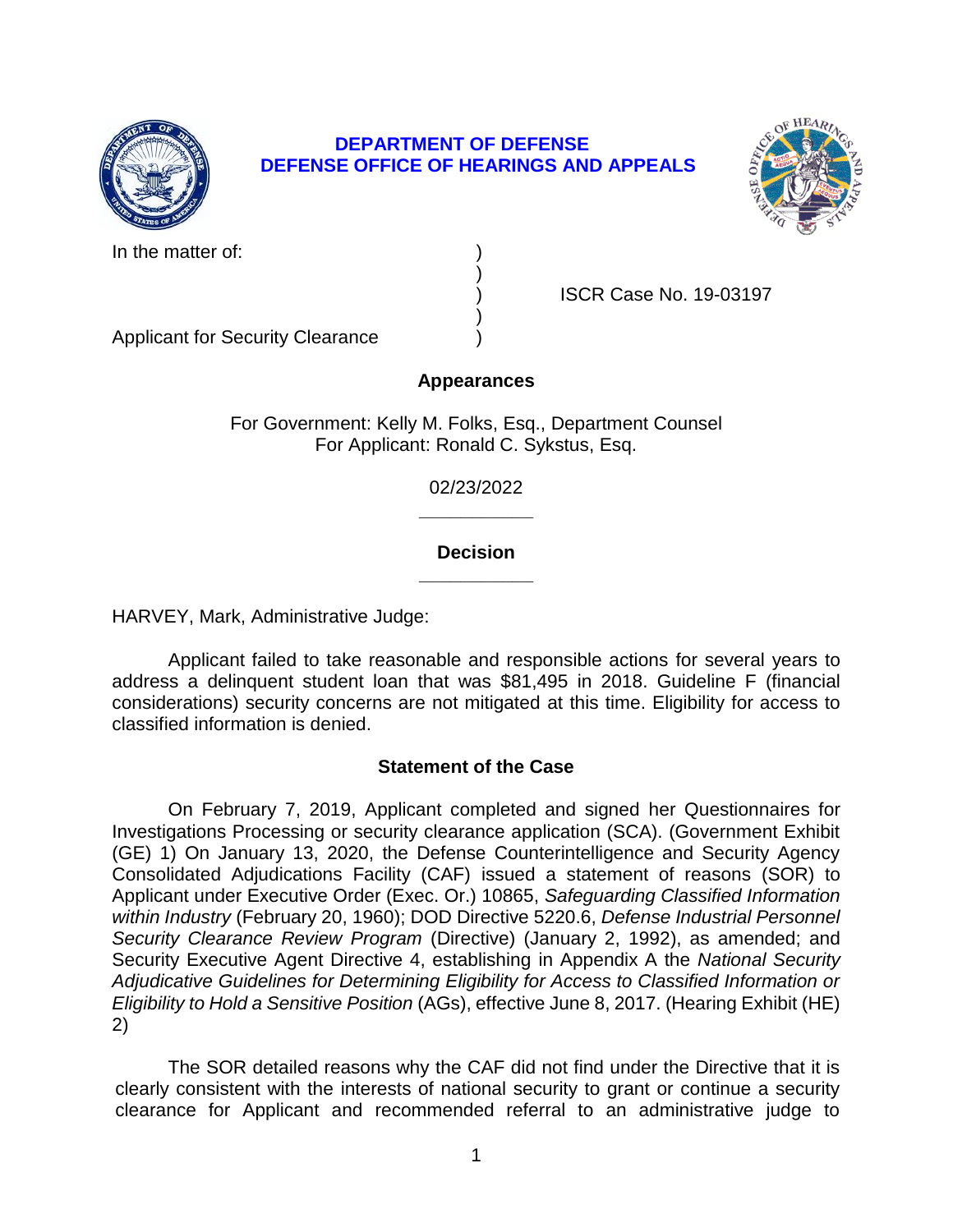

## **DEPARTMENT OF DEFENSE DEFENSE OFFICE OF HEARINGS AND APPEALS**



In the matter of:

) ISCR Case No. 19-03197

Applicant for Security Clearance )

# **Appearances**

)

)

For Government: Kelly M. Folks, Esq., Department Counsel For Applicant: Ronald C. Sykstus, Esq.

> **\_\_\_\_\_\_\_\_\_\_\_**  02/23/2022

## **\_\_\_\_\_\_\_\_\_\_\_ Decision**

HARVEY, Mark, Administrative Judge:

HARVEY, Mark, Administrative Judge:<br>Applicant failed to take reasonable and responsible actions for several years to address a delinquent student loan that was \$81,495 in 2018. Guideline F (financial considerations) security concerns are not mitigated at this time. Eligibility for access to classified information is denied.

# **Statement of the Case**

 On February 7, 2019, Applicant completed and signed her Questionnaires for Investigations Processing or security clearance application (SCA). (Government Exhibit (GE) 1) On January 13, 2020, the Defense Counterintelligence and Security Agency Consolidated Adjudications Facility (CAF) issued a statement of reasons (SOR) to  *Security Clearance Review Program* (Directive) (January 2, 1992), as amended; and Security Executive Agent Directive 4, establishing in Appendix A the *National Security Adjudicative Guidelines for Determining Eligibility for Access to Classified Information or Eligibility to Hold a Sensitive Position* (AGs), effective June 8, 2017. (Hearing Exhibit (HE) Applicant under Executive Order (Exec. Or.) 10865, *Safeguarding Classified Information within Industry* (February 20, 1960); DOD Directive 5220.6, *Defense Industrial Personnel*  2)

 The SOR detailed reasons why the CAF did not find under the Directive that it is clearly consistent with the interests of national security to grant or continue a security clearance for Applicant and recommended referral to an administrative judge to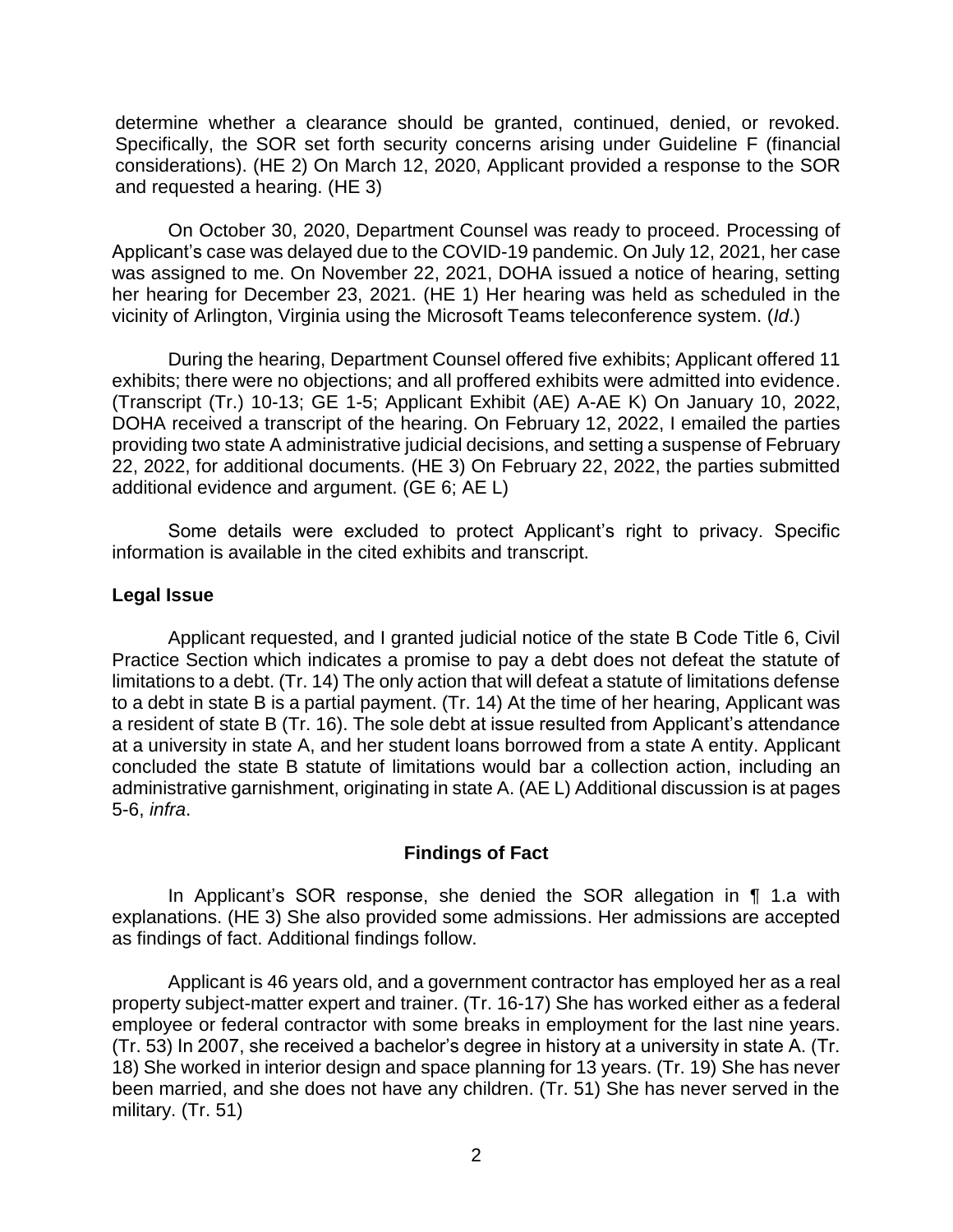determine whether a clearance should be granted, continued, denied, or revoked. Specifically, the SOR set forth security concerns arising under Guideline F (financial considerations). (HE 2) On March 12, 2020, Applicant provided a response to the SOR and requested a hearing. (HE 3)

and requested a hearing. (HE 3)<br>On October 30, 2020, Department Counsel was ready to proceed. Processing of Applicant's case was delayed due to the COVID-19 pandemic. On July 12, 2021, her case was assigned to me. On November 22, 2021, DOHA issued a notice of hearing, setting her hearing for December 23, 2021. (HE 1) Her hearing was held as scheduled in the vicinity of Arlington, Virginia using the Microsoft Teams teleconference system. (*Id*.)

 During the hearing, Department Counsel offered five exhibits; Applicant offered 11 exhibits; there were no objections; and all proffered exhibits were admitted into evidence. DOHA received a transcript of the hearing. On February 12, 2022, I emailed the parties providing two state A administrative judicial decisions, and setting a suspense of February 22, 2022, for additional documents. (HE 3) On February 22, 2022, the parties submitted (Transcript (Tr.) 10-13; GE 1-5; Applicant Exhibit (AE) A-AE K) On January 10, 2022, additional evidence and argument. (GE 6; AE L)

Some details were excluded to protect Applicant's right to privacy. Specific information is available in the cited exhibits and transcript.

### **Legal Issue**

 Applicant requested, and I granted judicial notice of the state B Code Title 6, Civil Practice Section which indicates a promise to pay a debt does not defeat the statute of limitations to a debt. (Tr. 14) The only action that will defeat a statute of limitations defense to a debt in state B is a partial payment. (Tr. 14) At the time of her hearing, Applicant was a resident of state B (Tr. 16). The sole debt at issue resulted from Applicant's attendance at a university in state A, and her student loans borrowed from a state A entity. Applicant concluded the state B statute of limitations would bar a collection action, including an administrative garnishment, originating in state A. (AE L) Additional discussion is at pages 5-6, *infra*.

## **Findings of Fact**

 explanations. (HE 3) She also provided some admissions. Her admissions are accepted In Applicant's SOR response, she denied the SOR allegation in ¶ 1.a with as findings of fact. Additional findings follow.

Applicant is 46 years old, and a government contractor has employed her as a real property subject-matter expert and trainer. (Tr. 16-17) She has worked either as a federal employee or federal contractor with some breaks in employment for the last nine years. (Tr. 53) In 2007, she received a bachelor's degree in history at a university in state A. (Tr. 18) She worked in interior design and space planning for 13 years. (Tr. 19) She has never been married, and she does not have any children. (Tr. 51) She has never served in the military. (Tr. 51)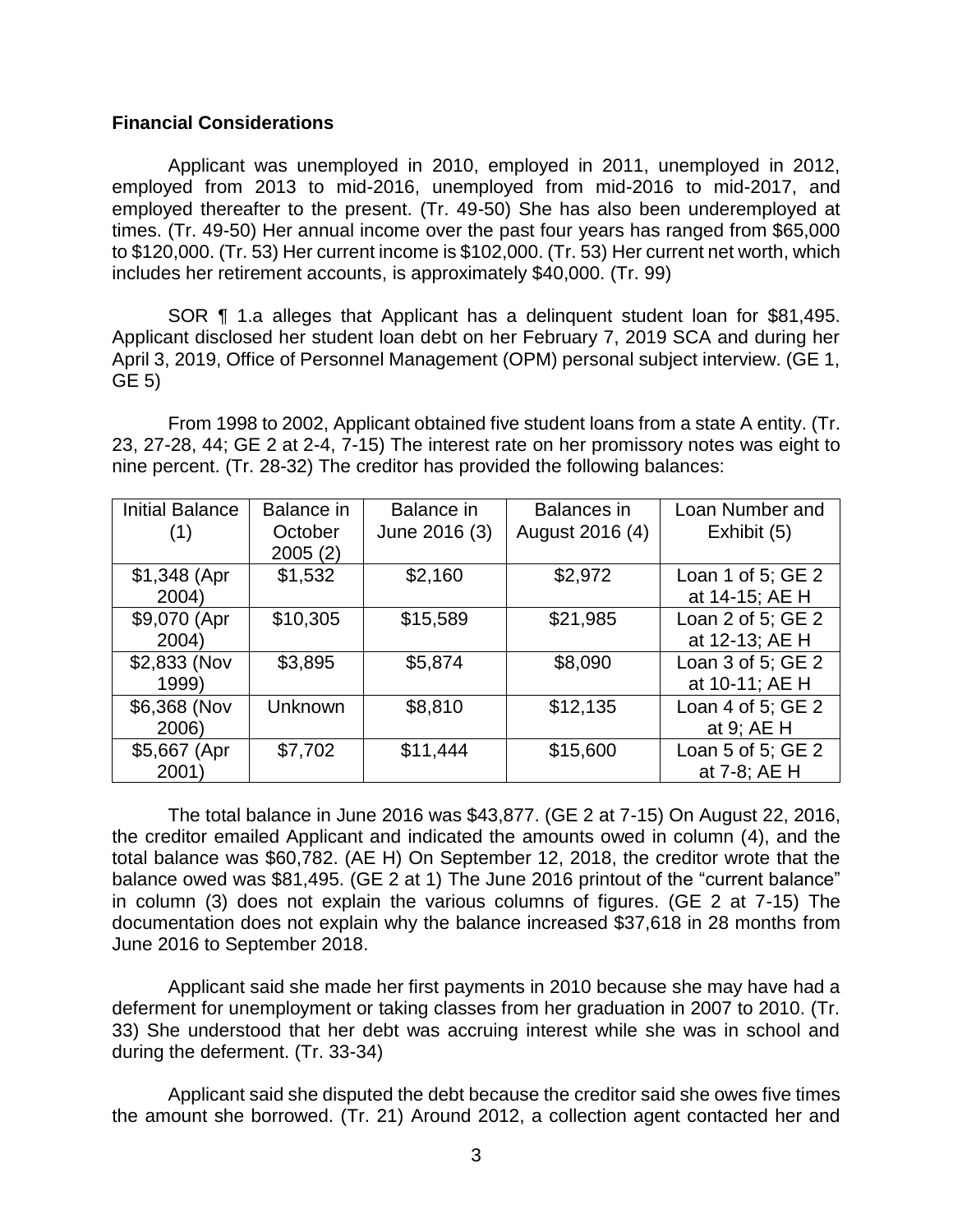#### **Financial Considerations**

 Applicant was unemployed in 2010, employed in 2011, unemployed in 2012, employed from 2013 to mid-2016, unemployed from mid-2016 to mid-2017, and employed thereafter to the present. (Tr. 49-50) She has also been underemployed at times. (Tr. 49-50) Her annual income over the past four years has ranged from \$65,000 to \$120,000. (Tr. 53) Her current income is \$102,000. (Tr. 53) Her current net worth, which includes her retirement accounts, is approximately \$40,000. (Tr. 99)

 SOR ¶ 1.a alleges that Applicant has a delinquent student loan for \$81,495. Applicant disclosed her student loan debt on her February 7, 2019 SCA and during her April 3, 2019, Office of Personnel Management (OPM) personal subject interview. (GE 1, GE 5)

 From 1998 to 2002, Applicant obtained five student loans from a state A entity. (Tr. 23, 27-28, 44; GE 2 at 2-4, 7-15) The interest rate on her promissory notes was eight to nine percent. (Tr. 28-32) The creditor has provided the following balances:

| <b>Initial Balance</b> | Balance in | Balance in    | <b>Balances</b> in | Loan Number and          |
|------------------------|------------|---------------|--------------------|--------------------------|
| (1)                    | October    | June 2016 (3) | August 2016 (4)    | Exhibit (5)              |
|                        | 2005(2)    |               |                    |                          |
| $$1,348$ (Apr          | \$1,532    | \$2,160       | \$2,972            | Loan 1 of 5; GE 2        |
| 2004)                  |            |               |                    | at 14-15; AE H           |
| \$9,070 (Apr           | \$10,305   | \$15,589      | \$21,985           | Loan 2 of 5; GE 2        |
| 2004)                  |            |               |                    | at 12-13; AE H           |
| \$2,833 (Nov           | \$3,895    | \$5,874       | \$8,090            | Loan $3$ of $5$ ; GE $2$ |
| 1999)                  |            |               |                    | at 10-11; AE H           |
| \$6,368 (Nov           | Unknown    | \$8,810       | \$12,135           | Loan 4 of 5; GE 2        |
| 2006)                  |            |               |                    | at 9; AE H               |
| \$5,667 (Apr)          | \$7,702    | \$11,444      | \$15,600           | Loan 5 of 5; $GE$ 2      |
| 2001)                  |            |               |                    | at 7-8; AE H             |

 the creditor emailed Applicant and indicated the amounts owed in column (4), and the total balance was \$60,782. (AE H) On September 12, 2018, the creditor wrote that the balance owed was \$81,495. (GE 2 at 1) The June 2016 printout of the "current balance" in column (3) does not explain the various columns of figures. (GE 2 at 7-15) The documentation does not explain why the balance increased \$37,618 in 28 months from The total balance in June 2016 was \$43,877. (GE 2 at 7-15) On August 22, 2016, June 2016 to September 2018.

Applicant said she made her first payments in 2010 because she may have had a deferment for unemployment or taking classes from her graduation in 2007 to 2010. (Tr. 33) She understood that her debt was accruing interest while she was in school and during the deferment. (Tr. 33-34)

 Applicant said she disputed the debt because the creditor said she owes five times the amount she borrowed. (Tr. 21) Around 2012, a collection agent contacted her and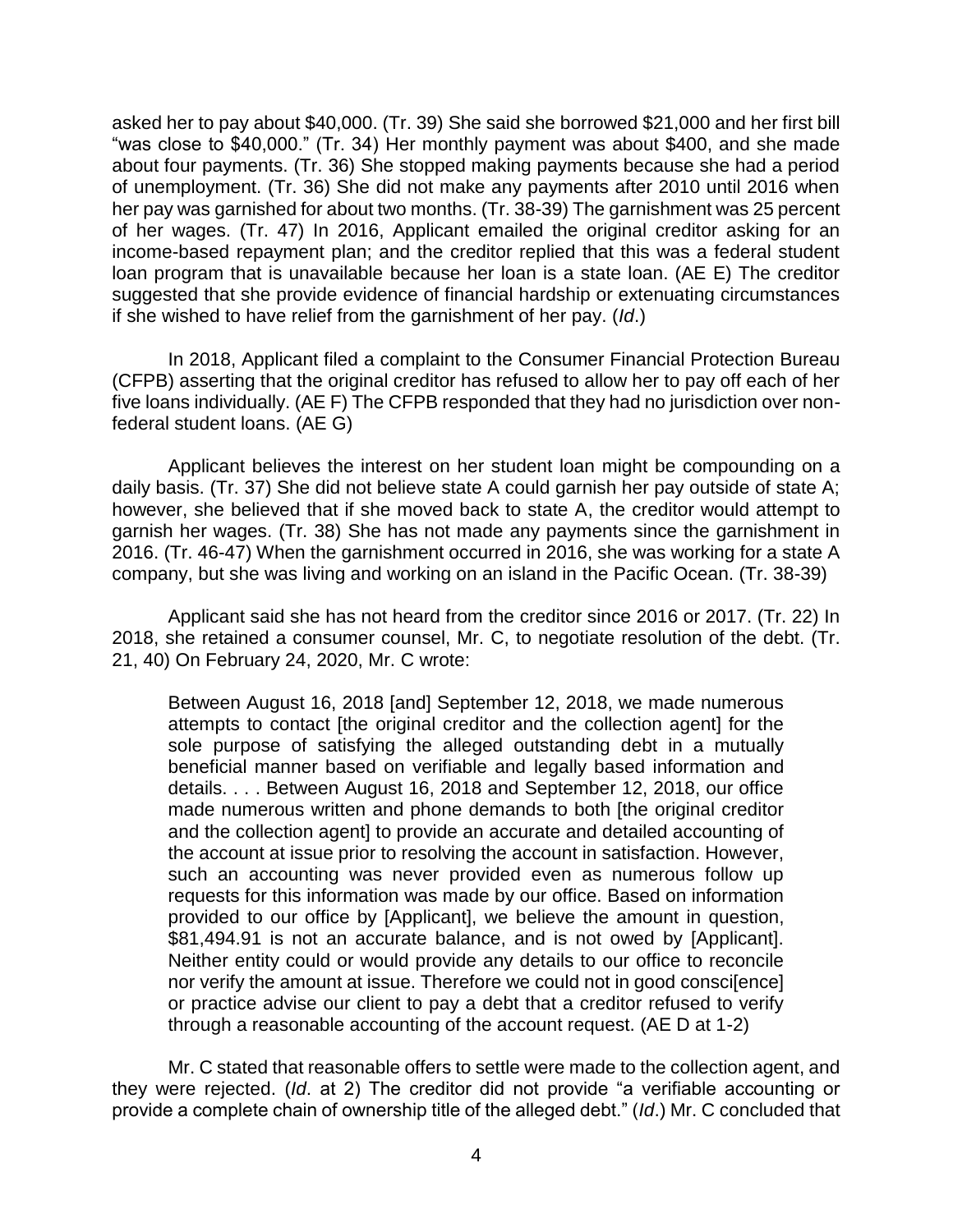asked her to pay about \$40,000. (Tr. 39) She said she borrowed \$21,000 and her first bill "was close to \$40,000." (Tr. 34) Her monthly payment was about \$400, and she made about four payments. (Tr. 36) She stopped making payments because she had a period of unemployment. (Tr. 36) She did not make any payments after 2010 until 2016 when her pay was garnished for about two months. (Tr. 38-39) The garnishment was 25 percent of her wages. (Tr. 47) In 2016, Applicant emailed the original creditor asking for an income-based repayment plan; and the creditor replied that this was a federal student loan program that is unavailable because her loan is a state loan. (AE E) The creditor suggested that she provide evidence of financial hardship or extenuating circumstances if she wished to have relief from the garnishment of her pay. (*Id*.)

 In 2018, Applicant filed a complaint to the Consumer Financial Protection Bureau (CFPB) asserting that the original creditor has refused to allow her to pay off each of her five loans individually. (AE F) The CFPB responded that they had no jurisdiction over nonfederal student loans. (AE G)

 Applicant believes the interest on her student loan might be compounding on a daily basis. (Tr. 37) She did not believe state A could garnish her pay outside of state A; however, she believed that if she moved back to state A, the creditor would attempt to garnish her wages. (Tr. 38) She has not made any payments since the garnishment in 2016. (Tr. 46-47) When the garnishment occurred in 2016, she was working for a state A company, but she was living and working on an island in the Pacific Ocean. (Tr. 38-39)

 Applicant said she has not heard from the creditor since 2016 or 2017. (Tr. 22) In 2018, she retained a consumer counsel, Mr. C, to negotiate resolution of the debt. (Tr. 21, 40) On February 24, 2020, Mr. C wrote:

Between August 16, 2018 [and] September 12, 2018, we made numerous attempts to contact [the original creditor and the collection agent] for the sole purpose of satisfying the alleged outstanding debt in a mutually beneficial manner based on verifiable and legally based information and details. . . . Between August 16, 2018 and September 12, 2018, our office made numerous written and phone demands to both [the original creditor and the collection agent] to provide an accurate and detailed accounting of the account at issue prior to resolving the account in satisfaction. However, such an accounting was never provided even as numerous follow up requests for this information was made by our office. Based on information provided to our office by [Applicant], we believe the amount in question, \$81,494.91 is not an accurate balance, and is not owed by [Applicant]. Neither entity could or would provide any details to our office to reconcile nor verify the amount at issue. Therefore we could not in good consci[ence] or practice advise our client to pay a debt that a creditor refused to verify through a reasonable accounting of the account request. (AE D at 1-2)

 Mr. C stated that reasonable offers to settle were made to the collection agent, and they were rejected. (*Id*. at 2) The creditor did not provide "a verifiable accounting or provide a complete chain of ownership title of the alleged debt." (*Id*.) Mr. C concluded that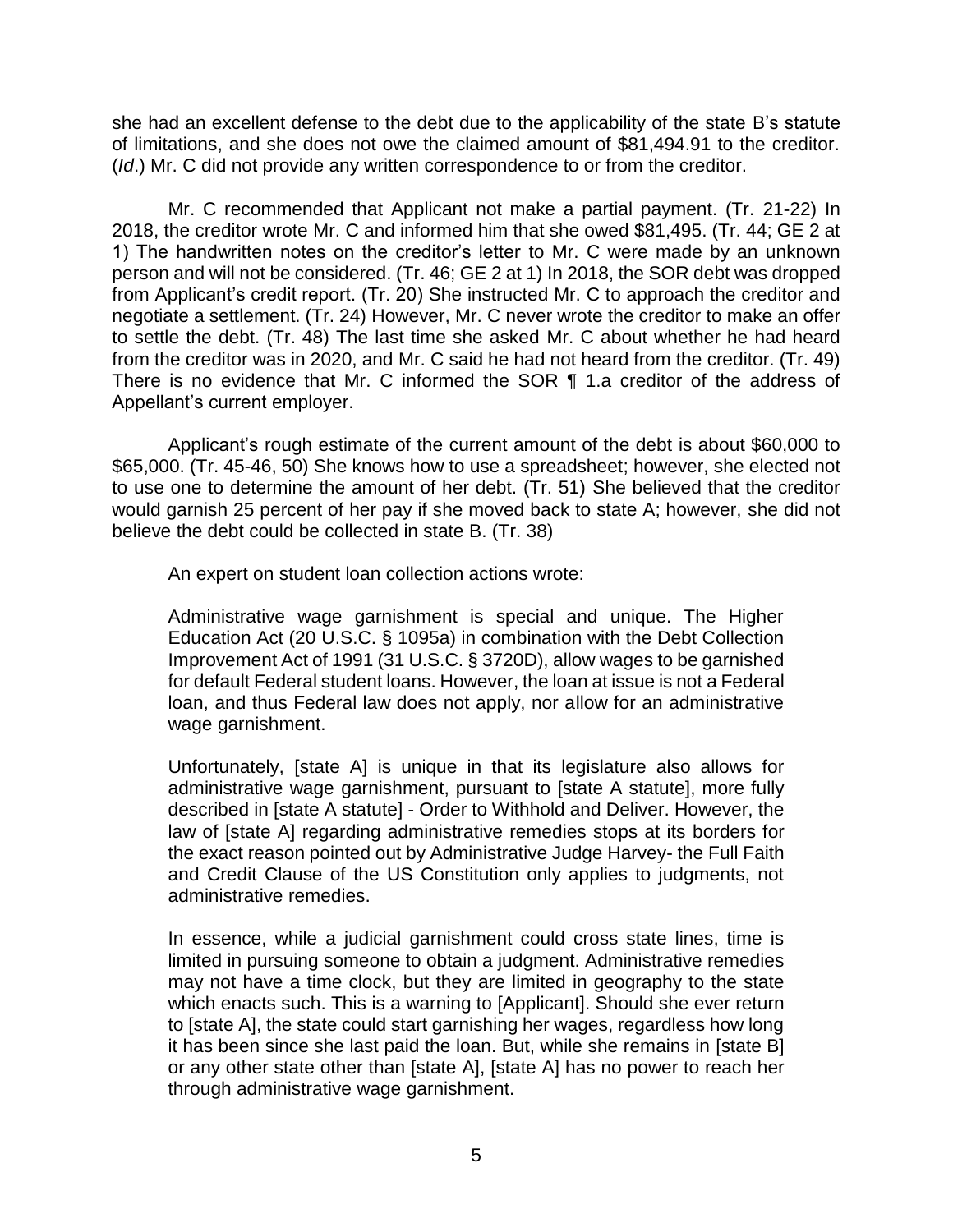she had an excellent defense to the debt due to the applicability of the state B's statute of limitations, and she does not owe the claimed amount of \$81,494.91 to the creditor. (*Id*.) Mr. C did not provide any written correspondence to or from the creditor.

Mr. C recommended that Applicant not make a partial payment. (Tr. 21-22) In 2018, the creditor wrote Mr. C and informed him that she owed \$81,495. (Tr. 44; GE 2 at 1) The handwritten notes on the creditor's letter to Mr. C were made by an unknown person and will not be considered. (Tr. 46; GE 2 at 1) In 2018, the SOR debt was dropped from Applicant's credit report. (Tr. 20) She instructed Mr. C to approach the creditor and negotiate a settlement. (Tr. 24) However, Mr. C never wrote the creditor to make an offer to settle the debt. (Tr. 48) The last time she asked Mr. C about whether he had heard from the creditor was in 2020, and Mr. C said he had not heard from the creditor. (Tr. 49) There is no evidence that Mr. C informed the SOR ¶ 1.a creditor of the address of Appellant's current employer.

 Applicant's rough estimate of the current amount of the debt is about \$60,000 to \$65,000. (Tr. 45-46, 50) She knows how to use a spreadsheet; however, she elected not to use one to determine the amount of her debt. (Tr. 51) She believed that the creditor would garnish 25 percent of her pay if she moved back to state A; however, she did not believe the debt could be collected in state B. (Tr. 38)

An expert on student loan collection actions wrote:

 Administrative wage garnishment is special and unique. The Higher Education Act (20 U.S.C. § 1095a) in combination with the Debt Collection Improvement Act of 1991 (31 U.S.C. § 3720D), allow wages to be garnished for default Federal student loans. However, the loan at issue is not a Federal loan, and thus Federal law does not apply, nor allow for an administrative wage garnishment.

 Unfortunately, [state A] is unique in that its legislature also allows for administrative wage garnishment, pursuant to [state A statute], more fully described in [state A statute] - Order to Withhold and Deliver. However, the law of [state A] regarding administrative remedies stops at its borders for the exact reason pointed out by Administrative Judge Harvey- the Full Faith and Credit Clause of the US Constitution only applies to judgments, not administrative remedies.

 In essence, while a judicial garnishment could cross state lines, time is may not have a time clock, but they are limited in geography to the state to [state A], the state could start garnishing her wages, regardless how long it has been since she last paid the loan. But, while she remains in [state B] or any other state other than [state A], [state A] has no power to reach her limited in pursuing someone to obtain a judgment. Administrative remedies which enacts such. This is a warning to [Applicant]. Should she ever return through administrative wage garnishment.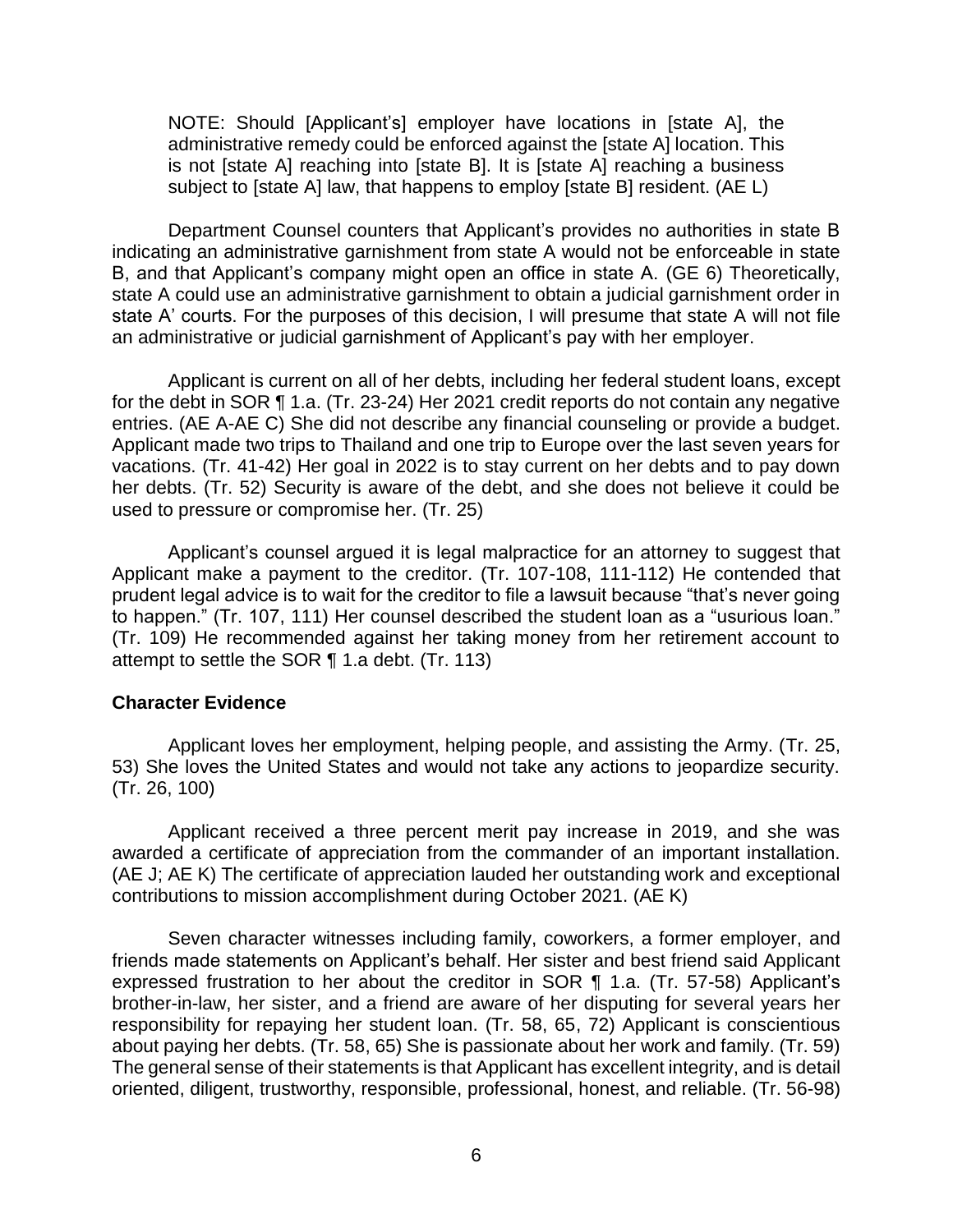NOTE: Should [Applicant's] employer have locations in [state A], the administrative remedy could be enforced against the [state A] location. This is not [state A] reaching into [state B]. It is [state A] reaching a business subject to [state A] law, that happens to employ [state B] resident. (AE L)

 Department Counsel counters that Applicant's provides no authorities in state B indicating an administrative garnishment from state A would not be enforceable in state B, and that Applicant's company might open an office in state A. (GE 6) Theoretically, state A' courts. For the purposes of this decision, I will presume that state A will not file state A could use an administrative garnishment to obtain a judicial garnishment order in an administrative or judicial garnishment of Applicant's pay with her employer.

 for the debt in SOR ¶ 1.a. (Tr. 23-24) Her 2021 credit reports do not contain any negative entries. (AE A-AE C) She did not describe any financial counseling or provide a budget. Applicant made two trips to Thailand and one trip to Europe over the last seven years for vacations. (Tr. 41-42) Her goal in 2022 is to stay current on her debts and to pay down her debts. (Tr. 52) Security is aware of the debt, and she does not believe it could be used to pressure or compromise her. (Tr. 25) Applicant is current on all of her debts, including her federal student loans, except

 Applicant's counsel argued it is legal malpractice for an attorney to suggest that Applicant make a payment to the creditor. (Tr. 107-108, 111-112) He contended that prudent legal advice is to wait for the creditor to file a lawsuit because "that's never going to happen." (Tr. 107, 111) Her counsel described the student loan as a "usurious loan." (Tr. 109) He recommended against her taking money from her retirement account to attempt to settle the SOR ¶ 1.a debt. (Tr. 113)

#### **Character Evidence**

Applicant loves her employment, helping people, and assisting the Army. (Tr. 25, 53) She loves the United States and would not take any actions to jeopardize security. (Tr. 26, 100)

 Applicant received a three percent merit pay increase in 2019, and she was awarded a certificate of appreciation from the commander of an important installation. (AE J; AE K) The certificate of appreciation lauded her outstanding work and exceptional contributions to mission accomplishment during October 2021. (AE K)

 friends made statements on Applicant's behalf. Her sister and best friend said Applicant expressed frustration to her about the creditor in SOR ¶ 1.a. (Tr. 57-58) Applicant's brother-in-law, her sister, and a friend are aware of her disputing for several years her The general sense of their statements is that Applicant has excellent integrity, and is detail Seven character witnesses including family, coworkers, a former employer, and responsibility for repaying her student loan. (Tr. 58, 65, 72) Applicant is conscientious about paying her debts. (Tr. 58, 65) She is passionate about her work and family. (Tr. 59) oriented, diligent, trustworthy, responsible, professional, honest, and reliable. (Tr. 56-98)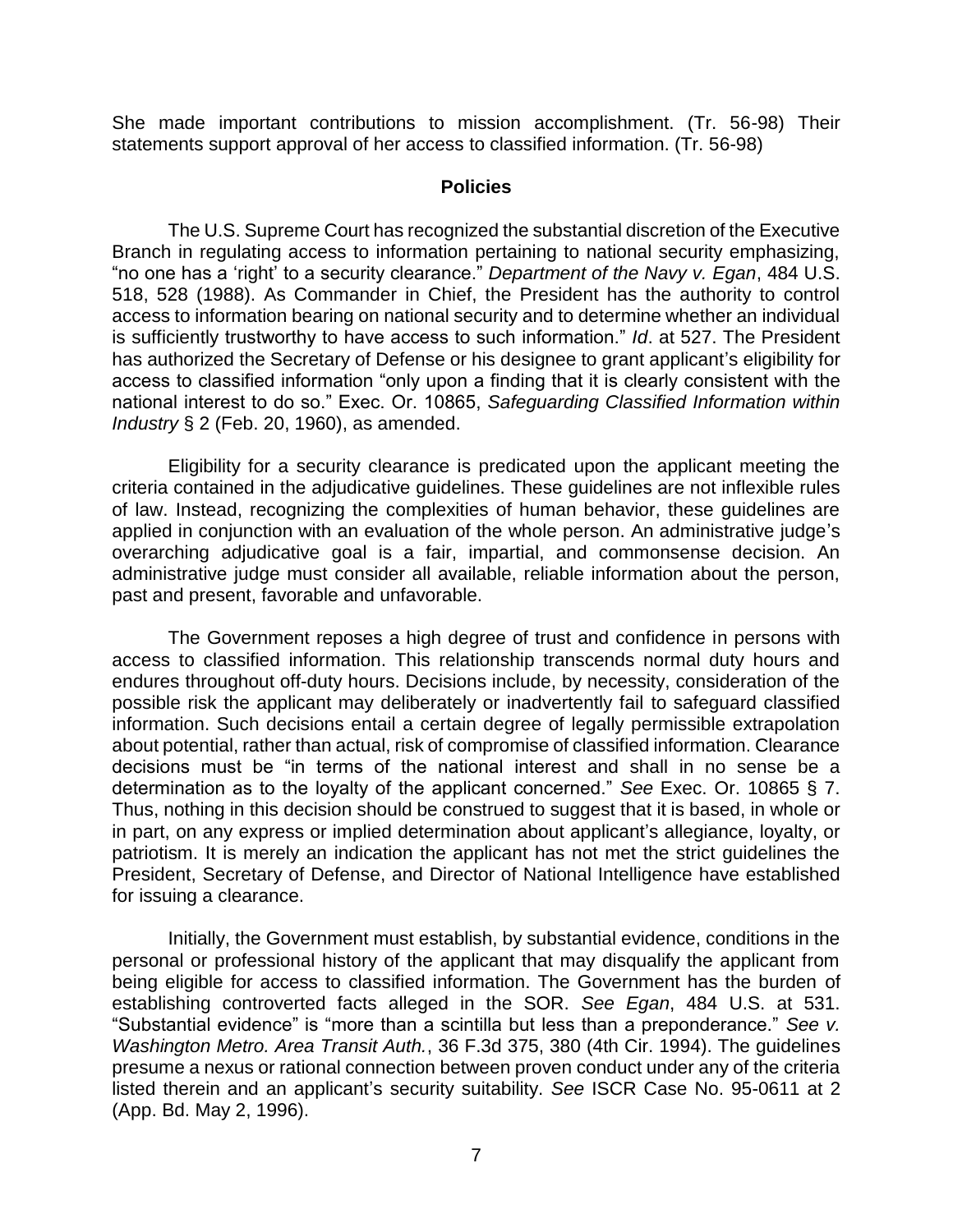She made important contributions to mission accomplishment. (Tr. 56-98) Their statements support approval of her access to classified information. (Tr. 56-98)

#### **Policies**

 The U.S. Supreme Court has recognized the substantial discretion of the Executive Branch in regulating access to information pertaining to national security emphasizing, "no one has a 'right' to a security clearance." *Department of the Navy v. Egan*, 484 U.S. 518, 528 (1988). As Commander in Chief, the President has the authority to control access to information bearing on national security and to determine whether an individual is sufficiently trustworthy to have access to such information." *Id*. at 527. The President has authorized the Secretary of Defense or his designee to grant applicant's eligibility for access to classified information "only upon a finding that it is clearly consistent with the national interest to do so." Exec. Or. 10865, *Safeguarding Classified Information within Industry* § 2 (Feb. 20, 1960), as amended.

 Eligibility for a security clearance is predicated upon the applicant meeting the criteria contained in the adjudicative guidelines. These guidelines are not inflexible rules of law. Instead, recognizing the complexities of human behavior, these guidelines are applied in conjunction with an evaluation of the whole person. An administrative judge's overarching adjudicative goal is a fair, impartial, and commonsense decision. An administrative judge must consider all available, reliable information about the person, past and present, favorable and unfavorable.

 The Government reposes a high degree of trust and confidence in persons with access to classified information. This relationship transcends normal duty hours and endures throughout off-duty hours. Decisions include, by necessity, consideration of the possible risk the applicant may deliberately or inadvertently fail to safeguard classified information. Such decisions entail a certain degree of legally permissible extrapolation about potential, rather than actual, risk of compromise of classified information. Clearance decisions must be "in terms of the national interest and shall in no sense be a determination as to the loyalty of the applicant concerned." *See* Exec. Or. 10865 § 7. Thus, nothing in this decision should be construed to suggest that it is based, in whole or in part, on any express or implied determination about applicant's allegiance, loyalty, or patriotism. It is merely an indication the applicant has not met the strict guidelines the President, Secretary of Defense, and Director of National Intelligence have established for issuing a clearance.

 Initially, the Government must establish, by substantial evidence, conditions in the personal or professional history of the applicant that may disqualify the applicant from being eligible for access to classified information. The Government has the burden of establishing controverted facts alleged in the SOR. *See Egan*, 484 U.S. at 531. "Substantial evidence" is "more than a scintilla but less than a preponderance." *See v. Washington Metro. Area Transit Auth.*, 36 F.3d 375, 380 (4th Cir. 1994). The guidelines presume a nexus or rational connection between proven conduct under any of the criteria listed therein and an applicant's security suitability. *See* ISCR Case No. 95-0611 at 2 (App. Bd. May 2, 1996).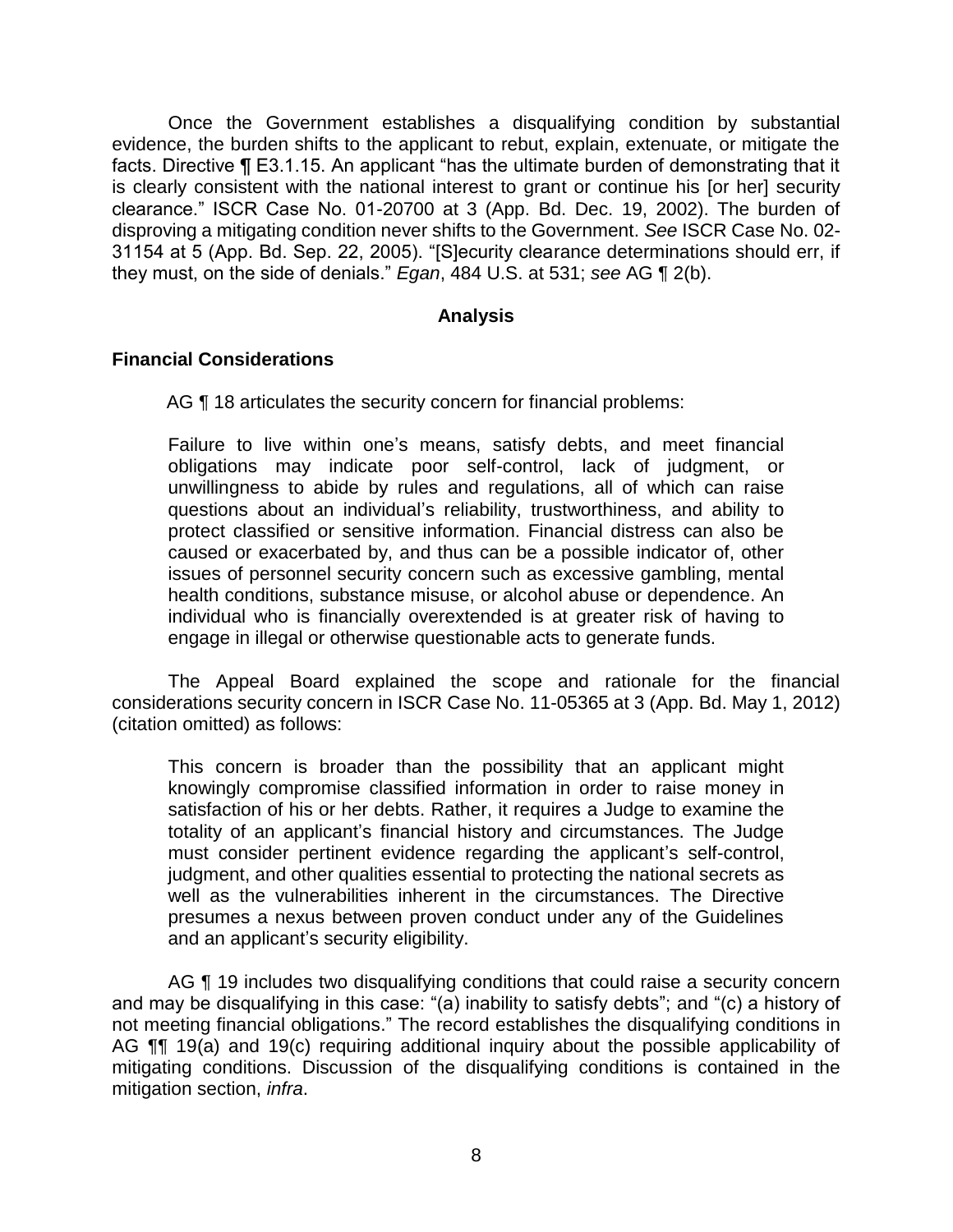Once the Government establishes a disqualifying condition by substantial evidence, the burden shifts to the applicant to rebut, explain, extenuate, or mitigate the facts. Directive ¶ E3.1.15. An applicant "has the ultimate burden of demonstrating that it is clearly consistent with the national interest to grant or continue his [or her] security clearance." ISCR Case No. 01-20700 at 3 (App. Bd. Dec. 19, 2002). The burden of disproving a mitigating condition never shifts to the Government. *See* ISCR Case No. 02- 31154 at 5 (App. Bd. Sep. 22, 2005). "[S]ecurity clearance determinations should err, if they must, on the side of denials." *Egan*, 484 U.S. at 531; *see* AG ¶ 2(b).

### **Analysis**

### **Financial Considerations**

AG ¶ 18 articulates the security concern for financial problems:

Failure to live within one's means, satisfy debts, and meet financial obligations may indicate poor self-control, lack of judgment, or unwillingness to abide by rules and regulations, all of which can raise questions about an individual's reliability, trustworthiness, and ability to protect classified or sensitive information. Financial distress can also be caused or exacerbated by, and thus can be a possible indicator of, other issues of personnel security concern such as excessive gambling, mental health conditions, substance misuse, or alcohol abuse or dependence. An individual who is financially overextended is at greater risk of having to engage in illegal or otherwise questionable acts to generate funds.

 The Appeal Board explained the scope and rationale for the financial considerations security concern in ISCR Case No. 11-05365 at 3 (App. Bd. May 1, 2012) (citation omitted) as follows:

This concern is broader than the possibility that an applicant might knowingly compromise classified information in order to raise money in satisfaction of his or her debts. Rather, it requires a Judge to examine the totality of an applicant's financial history and circumstances. The Judge must consider pertinent evidence regarding the applicant's self-control, judgment, and other qualities essential to protecting the national secrets as well as the vulnerabilities inherent in the circumstances. The Directive presumes a nexus between proven conduct under any of the Guidelines and an applicant's security eligibility.

AG  $\P$  19 includes two disqualifying conditions that could raise a security concern and may be disqualifying in this case: "(a) inability to satisfy debts"; and "(c) a history of not meeting financial obligations." The record establishes the disqualifying conditions in AG **[1]** 19(a) and 19(c) requiring additional inquiry about the possible applicability of mitigating conditions. Discussion of the disqualifying conditions is contained in the mitigation section, *infra*.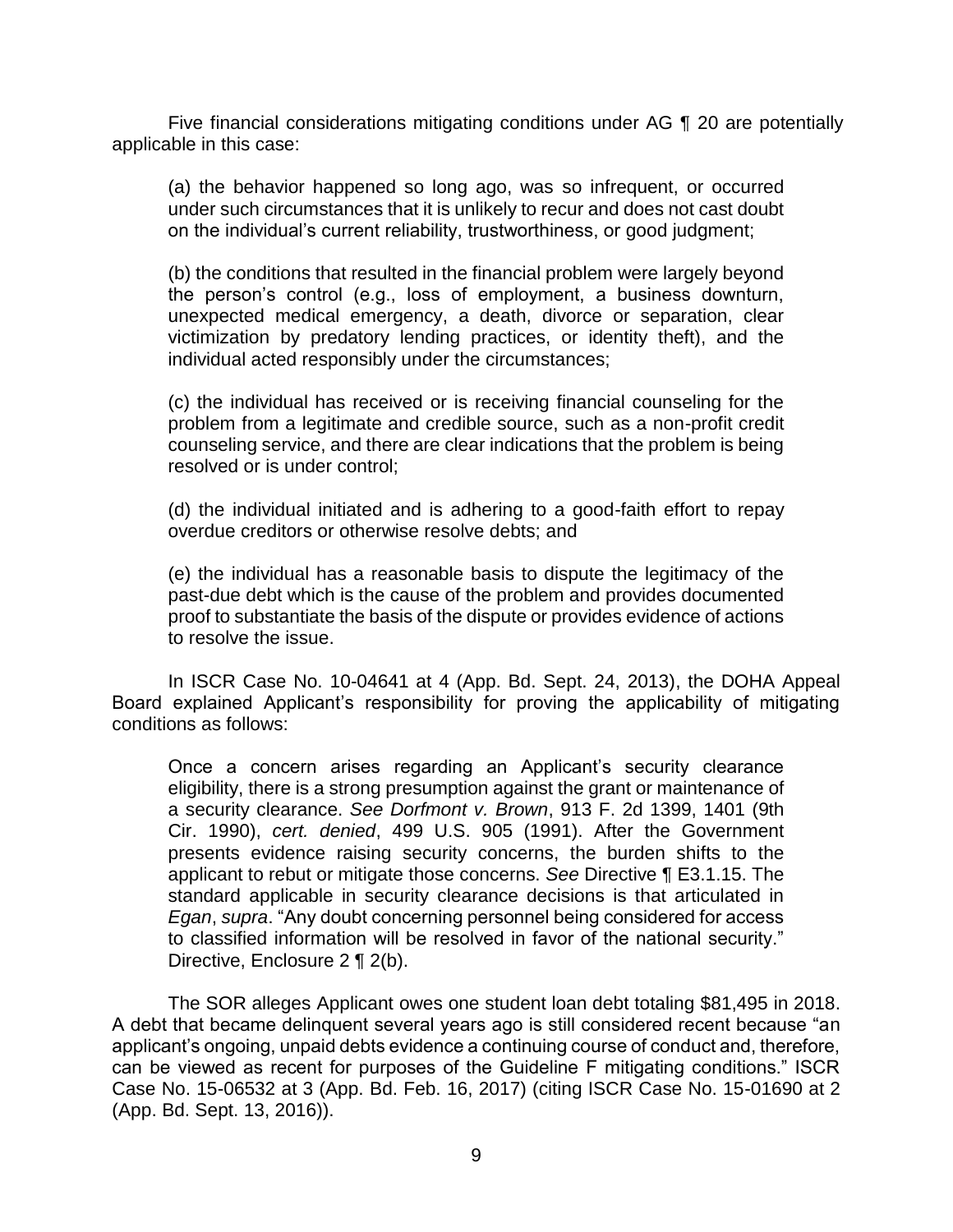Five financial considerations mitigating conditions under AG ¶ 20 are potentially applicable in this case:

(a) the behavior happened so long ago, was so infrequent, or occurred under such circumstances that it is unlikely to recur and does not cast doubt on the individual's current reliability, trustworthiness, or good judgment;

(b) the conditions that resulted in the financial problem were largely beyond the person's control (e.g., loss of employment, a business downturn, unexpected medical emergency, a death, divorce or separation, clear victimization by predatory lending practices, or identity theft), and the individual acted responsibly under the circumstances;

(c) the individual has received or is receiving financial counseling for the problem from a legitimate and credible source, such as a non-profit credit counseling service, and there are clear indications that the problem is being resolved or is under control;

(d) the individual initiated and is adhering to a good-faith effort to repay overdue creditors or otherwise resolve debts; and

 (e) the individual has a reasonable basis to dispute the legitimacy of the proof to substantiate the basis of the dispute or provides evidence of actions past-due debt which is the cause of the problem and provides documented to resolve the issue.

In ISCR Case No. 10-04641 at 4 (App. Bd. Sept. 24, 2013), the DOHA Appeal Board explained Applicant's responsibility for proving the applicability of mitigating conditions as follows:

Once a concern arises regarding an Applicant's security clearance eligibility, there is a strong presumption against the grant or maintenance of a security clearance. *See Dorfmont v. Brown*, 913 F. 2d 1399, 1401 (9th Cir. 1990), *cert. denied*, 499 U.S. 905 (1991). After the Government presents evidence raising security concerns, the burden shifts to the applicant to rebut or mitigate those concerns. *See* Directive ¶ E3.1.15. The standard applicable in security clearance decisions is that articulated in *Egan*, *supra*. "Any doubt concerning personnel being considered for access to classified information will be resolved in favor of the national security." Directive, Enclosure 2 ¶ 2(b).

The SOR alleges Applicant owes one student loan debt totaling \$81,495 in 2018. A debt that became delinquent several years ago is still considered recent because "an applicant's ongoing, unpaid debts evidence a continuing course of conduct and, therefore, can be viewed as recent for purposes of the Guideline F mitigating conditions." ISCR Case No. 15-06532 at 3 (App. Bd. Feb. 16, 2017) (citing ISCR Case No. 15-01690 at 2 (App. Bd. Sept. 13, 2016)).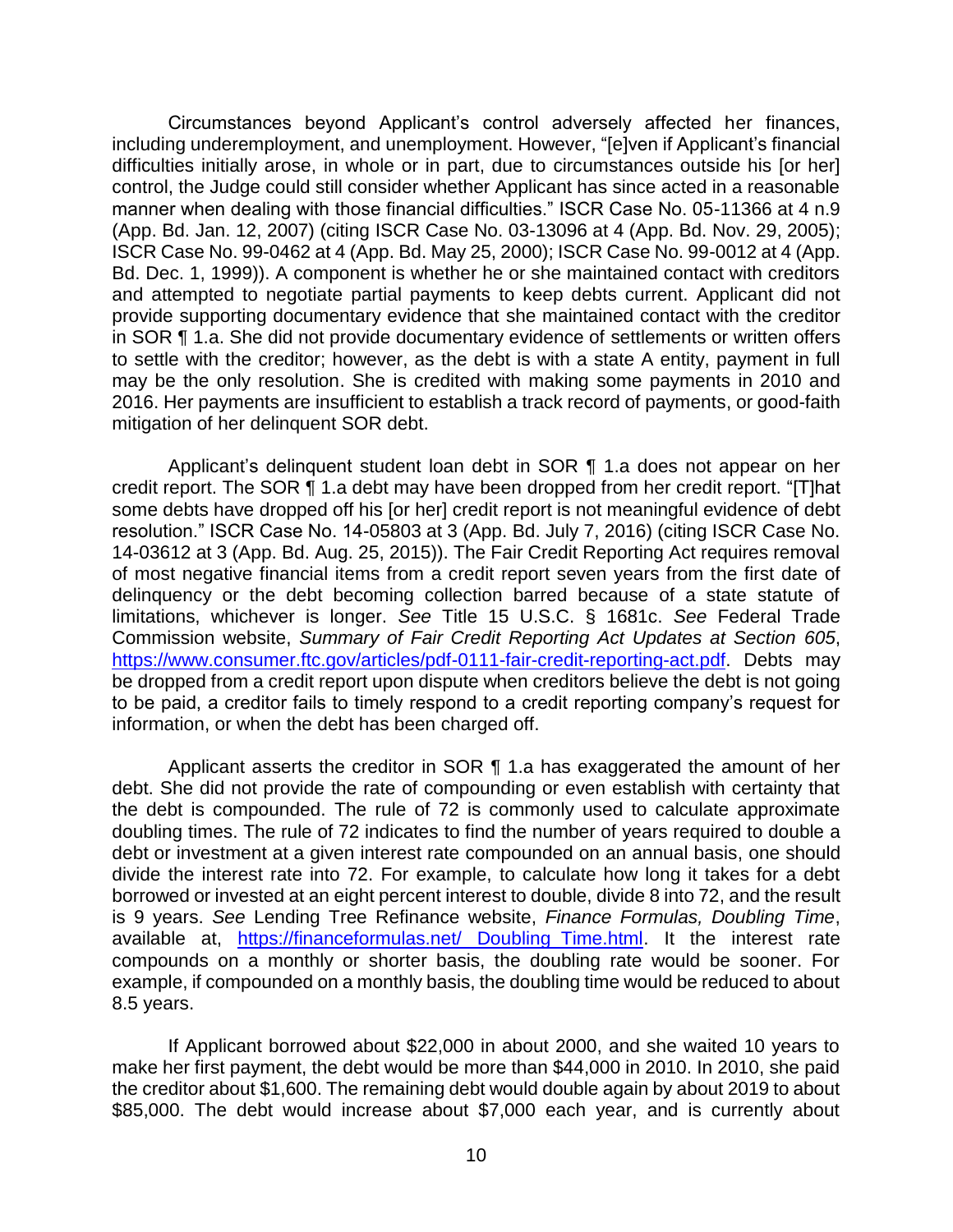Circumstances beyond Applicant's control adversely affected her finances, including underemployment, and unemployment. However, "[e]ven if Applicant's financial difficulties initially arose, in whole or in part, due to circumstances outside his [or her] manner when dealing with those financial difficulties." ISCR Case No. 05-11366 at 4 n.9 (App. Bd. Jan. 12, 2007) (citing ISCR Case No. 03-13096 at 4 (App. Bd. Nov. 29, 2005); ISCR Case No. 99-0462 at 4 (App. Bd. May 25, 2000); ISCR Case No. 99-0012 at 4 (App. Bd. Dec. 1, 1999)). A component is whether he or she maintained contact with creditors and attempted to negotiate partial payments to keep debts current. Applicant did not provide supporting documentary evidence that she maintained contact with the creditor in SOR ¶ 1.a. She did not provide documentary evidence of settlements or written offers to settle with the creditor; however, as the debt is with a state A entity, payment in full may be the only resolution. She is credited with making some payments in 2010 and 2016. Her payments are insufficient to establish a track record of payments, or good-faith mitigation of her delinquent SOR debt. control, the Judge could still consider whether Applicant has since acted in a reasonable

Applicant's delinquent student loan debt in SOR ¶ 1.a does not appear on her credit report. The SOR ¶ 1.a debt may have been dropped from her credit report. "[T]hat some debts have dropped off his [or her] credit report is not meaningful evidence of debt 14-03612 at 3 (App. Bd. Aug. 25, 2015)). The Fair Credit Reporting Act requires removal of most negative financial items from a credit report seven years from the first date of delinquency or the debt becoming collection barred because of a state statute of limitations, whichever is longer. *See* Title 15 U.S.C. § 1681c. *See* Federal Trade be dropped from a credit report upon dispute when creditors believe the debt is not going to be paid, a creditor fails to timely respond to a credit reporting company's request for resolution." ISCR Case No. 14-05803 at 3 (App. Bd. July 7, 2016) (citing ISCR Case No. Commission website, *Summary of Fair Credit Reporting Act Updates at Section 605*, https://www.consumer.ftc.gov/articles/pdf-0111-fair-credit-reporting-act.pdf. Debts may information, or when the debt has been charged off.

Applicant asserts the creditor in SOR  $\P$  1.a has exaggerated the amount of her debt. She did not provide the rate of compounding or even establish with certainty that the debt is compounded. The rule of 72 is commonly used to calculate approximate doubling times. The rule of 72 indicates to find the number of years required to double a debt or investment at a given interest rate compounded on an annual basis, one should divide the interest rate into 72. For example, to calculate how long it takes for a debt borrowed or invested at an eight percent interest to double, divide 8 into 72, and the result is 9 years. *See* Lending Tree Refinance website, *Finance Formulas, Doubling Time*, available at, https://financeformulas.net/ Doubling Time.html. It the interest rate compounds on a monthly or shorter basis, the doubling rate would be sooner. For example, if compounded on a monthly basis, the doubling time would be reduced to about 8.5 years.

 If Applicant borrowed about \$22,000 in about 2000, and she waited 10 years to make her first payment, the debt would be more than \$44,000 in 2010. In 2010, she paid the creditor about \$1,600. The remaining debt would double again by about 2019 to about \$85,000. The debt would increase about \$7,000 each year, and is currently about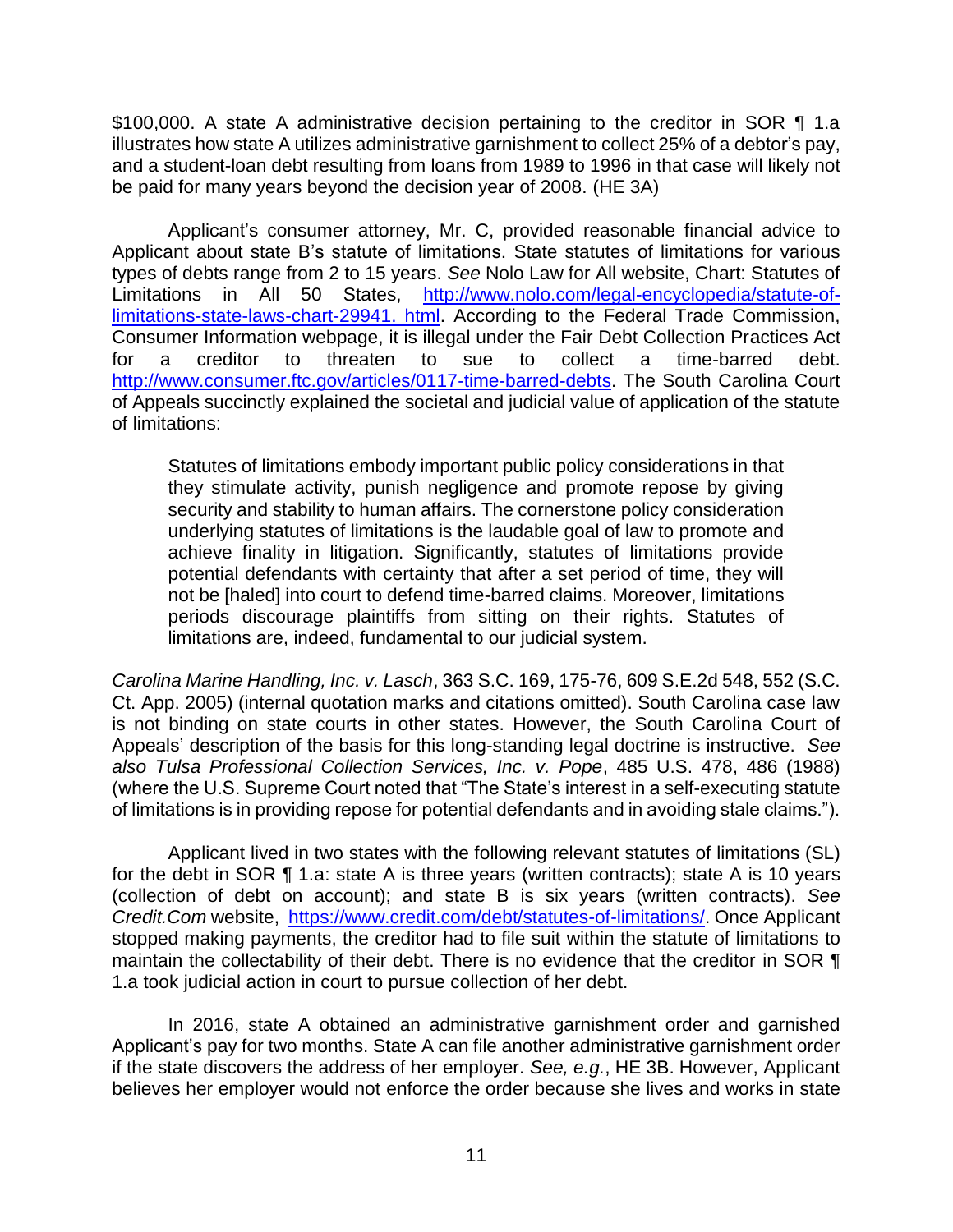\$100,000. A state A administrative decision pertaining to the creditor in SOR ¶ 1.a illustrates how state A utilizes administrative garnishment to collect 25% of a debtor's pay, and a student-loan debt resulting from loans from 1989 to 1996 in that case will likely not be paid for many years beyond the decision year of 2008. (HE 3A)

 Applicant about state B's statute of limitations. State statutes of limitations for various types of debts range from 2 to 15 years. *See* Nolo Law for All website, Chart: Statutes of Limitations in All 50 States, http://www.nolo.com/legal-encyclopedia/statute-ofhttp://www.consumer.ftc.gov/articles/0117-time-barred-debts. The South Carolina Court of Appeals succinctly explained the societal and judicial value of application of the statute Applicant's consumer attorney, Mr. C, provided reasonable financial advice to limitations-state-laws-chart-29941. html. According to the Federal Trade Commission, Consumer Information webpage, it is illegal under the Fair Debt Collection Practices Act for a creditor to threaten to sue to collect a time-barred debt. of limitations:

Statutes of limitations embody important public policy considerations in that they stimulate activity, punish negligence and promote repose by giving security and stability to human affairs. The cornerstone policy consideration underlying statutes of limitations is the laudable goal of law to promote and achieve finality in litigation. Significantly, statutes of limitations provide potential defendants with certainty that after a set period of time, they will not be [haled] into court to defend time-barred claims. Moreover, limitations periods discourage plaintiffs from sitting on their rights. Statutes of limitations are, indeed, fundamental to our judicial system.

 *Carolina Marine Handling, Inc. v. Lasch*, 363 S.C. 169, 175-76, 609 S.E.2d 548, 552 (S.C. Ct. App. 2005) (internal quotation marks and citations omitted). South Carolina case law is not binding on state courts in other states. However, the South Carolina Court of Appeals' description of the basis for this long-standing legal doctrine is instructive. *See also Tulsa Professional Collection Services, Inc. v. Pope*, 485 U.S. 478, 486 (1988) (where the U.S. Supreme Court noted that "The State's interest in a self-executing statute of limitations is in providing repose for potential defendants and in avoiding stale claims.").

Applicant lived in two states with the following relevant statutes of limitations (SL) for the debt in SOR ¶ 1.a: state A is three years (written contracts); state A is 10 years (collection of debt on account); and state B is six years (written contracts). *See Credit.Com* website, https://www.credit.com/debt/statutes-of-limitations/. Once Applicant stopped making payments, the creditor had to file suit within the statute of limitations to maintain the collectability of their debt. There is no evidence that the creditor in SOR ¶ 1.a took judicial action in court to pursue collection of her debt.

 In 2016, state A obtained an administrative garnishment order and garnished Applicant's pay for two months. State A can file another administrative garnishment order if the state discovers the address of her employer. *See, e.g.*, HE 3B. However, Applicant believes her employer would not enforce the order because she lives and works in state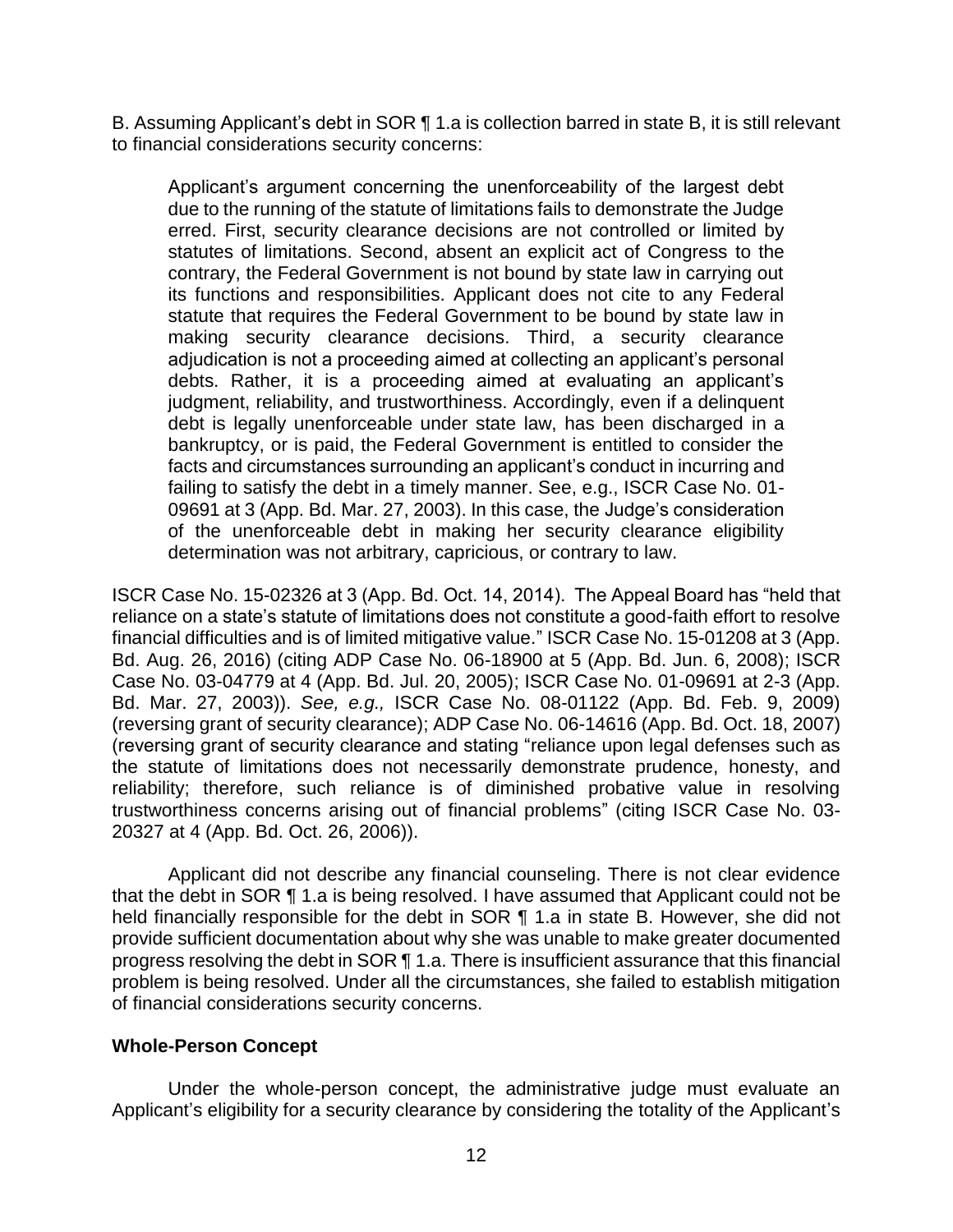B. Assuming Applicant's debt in SOR ¶ 1.a is collection barred in state B, it is still relevant to financial considerations security concerns:

Applicant's argument concerning the unenforceability of the largest debt due to the running of the statute of limitations fails to demonstrate the Judge erred. First, security clearance decisions are not controlled or limited by statutes of limitations. Second, absent an explicit act of Congress to the contrary, the Federal Government is not bound by state law in carrying out its functions and responsibilities. Applicant does not cite to any Federal statute that requires the Federal Government to be bound by state law in making security clearance decisions. Third, a security clearance adjudication is not a proceeding aimed at collecting an applicant's personal debts. Rather, it is a proceeding aimed at evaluating an applicant's judgment, reliability, and trustworthiness. Accordingly, even if a delinquent debt is legally unenforceable under state law, has been discharged in a bankruptcy, or is paid, the Federal Government is entitled to consider the facts and circumstances surrounding an applicant's conduct in incurring and failing to satisfy the debt in a timely manner. See, e.g., ISCR Case No. 01- 09691 at 3 (App. Bd. Mar. 27, 2003). In this case, the Judge's consideration of the unenforceable debt in making her security clearance eligibility determination was not arbitrary, capricious, or contrary to law.

ISCR Case No. 15-02326 at 3 (App. Bd. Oct. 14, 2014). The Appeal Board has "held that reliance on a state's statute of limitations does not constitute a good-faith effort to resolve financial difficulties and is of limited mitigative value." ISCR Case No. 15-01208 at 3 (App. Bd. Aug. 26, 2016) (citing ADP Case No. 06-18900 at 5 (App. Bd. Jun. 6, 2008); ISCR Case No. 03-04779 at 4 (App. Bd. Jul. 20, 2005); ISCR Case No. 01-09691 at 2-3 (App. Bd. Mar. 27, 2003)). *See, e.g.,* ISCR Case No. 08-01122 (App. Bd. Feb. 9, 2009) (reversing grant of security clearance); ADP Case No. 06-14616 (App. Bd. Oct. 18, 2007) (reversing grant of security clearance and stating "reliance upon legal defenses such as the statute of limitations does not necessarily demonstrate prudence, honesty, and reliability; therefore, such reliance is of diminished probative value in resolving trustworthiness concerns arising out of financial problems" (citing ISCR Case No. 03- 20327 at 4 (App. Bd. Oct. 26, 2006)).

 Applicant did not describe any financial counseling. There is not clear evidence provide sufficient documentation about why she was unable to make greater documented progress resolving the debt in SOR ¶ 1.a. There is insufficient assurance that this financial problem is being resolved. Under all the circumstances, she failed to establish mitigation that the debt in SOR ¶ 1.a is being resolved. I have assumed that Applicant could not be held financially responsible for the debt in SOR ¶ 1.a in state B. However, she did not of financial considerations security concerns.

## **Whole-Person Concept**

 Under the whole-person concept, the administrative judge must evaluate an Applicant's eligibility for a security clearance by considering the totality of the Applicant's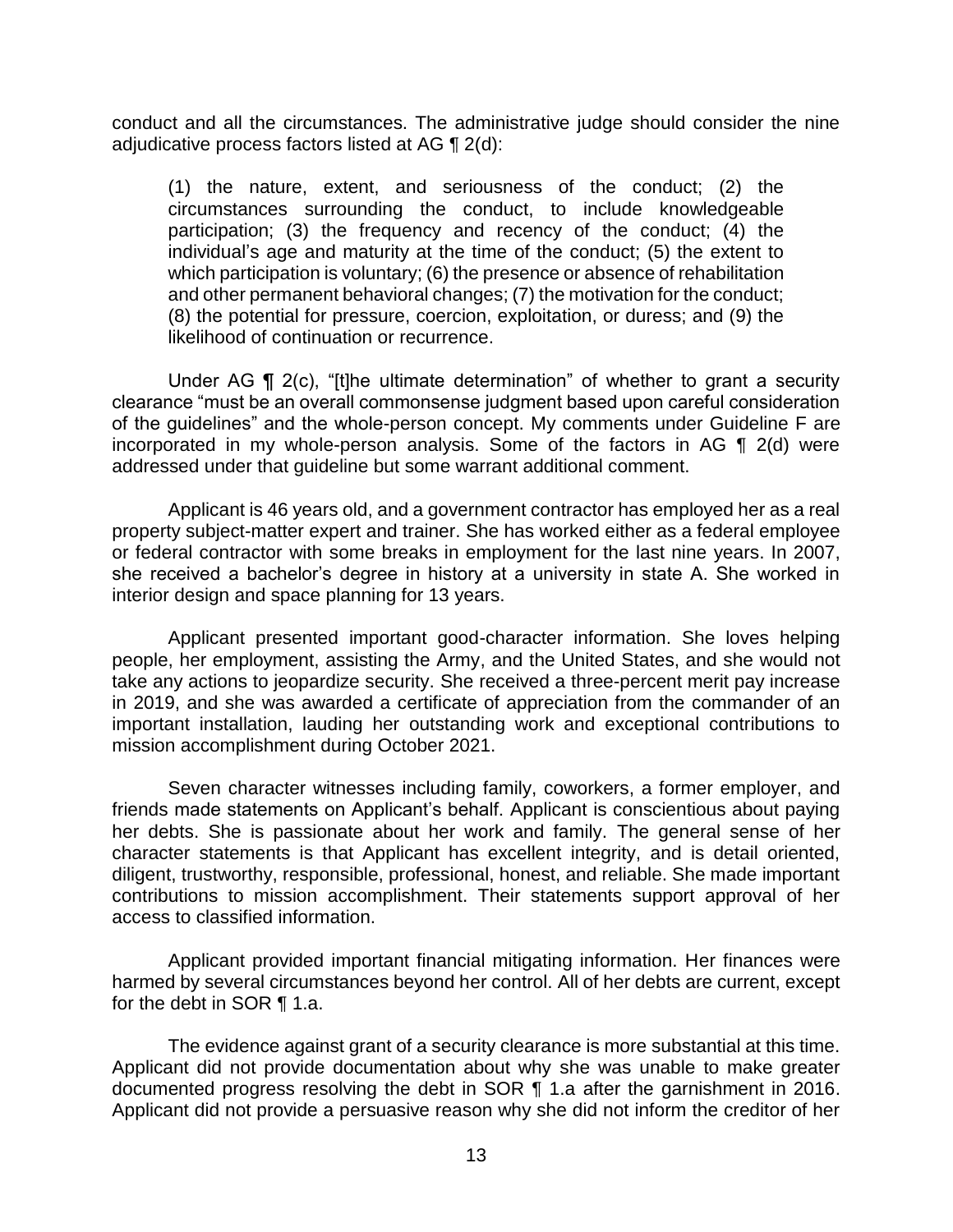conduct and all the circumstances. The administrative judge should consider the nine adjudicative process factors listed at AG  $\P$  2(d):

 (1) the nature, extent, and seriousness of the conduct; (2) the circumstances surrounding the conduct, to include knowledgeable participation; (3) the frequency and recency of the conduct; (4) the individual's age and maturity at the time of the conduct; (5) the extent to which participation is voluntary; (6) the presence or absence of rehabilitation and other permanent behavioral changes; (7) the motivation for the conduct; (8) the potential for pressure, coercion, exploitation, or duress; and (9) the likelihood of continuation or recurrence.

 clearance "must be an overall commonsense judgment based upon careful consideration of the guidelines" and the whole-person concept. My comments under Guideline F are incorporated in my whole-person analysis. Some of the factors in AG ¶ 2(d) were Under AG ¶ 2(c), "[t]he ultimate determination" of whether to grant a security addressed under that guideline but some warrant additional comment.

 Applicant is 46 years old, and a government contractor has employed her as a real or federal contractor with some breaks in employment for the last nine years. In 2007, she received a bachelor's degree in history at a university in state A. She worked in property subject-matter expert and trainer. She has worked either as a federal employee interior design and space planning for 13 years.

 people, her employment, assisting the Army, and the United States, and she would not take any actions to jeopardize security. She received a three-percent merit pay increase in 2019, and she was awarded a certificate of appreciation from the commander of an important installation, lauding her outstanding work and exceptional contributions to Applicant presented important good-character information. She loves helping mission accomplishment during October 2021.

 her debts. She is passionate about her work and family. The general sense of her character statements is that Applicant has excellent integrity, and is detail oriented, diligent, trustworthy, responsible, professional, honest, and reliable. She made important contributions to mission accomplishment. Their statements support approval of her Seven character witnesses including family, coworkers, a former employer, and friends made statements on Applicant's behalf. Applicant is conscientious about paying access to classified information.

 harmed by several circumstances beyond her control. All of her debts are current, except Applicant provided important financial mitigating information. Her finances were for the debt in SOR ¶ 1.a.

 The evidence against grant of a security clearance is more substantial at this time. Applicant did not provide documentation about why she was unable to make greater Applicant did not provide a persuasive reason why she did not inform the creditor of her documented progress resolving the debt in SOR ¶ 1.a after the garnishment in 2016.